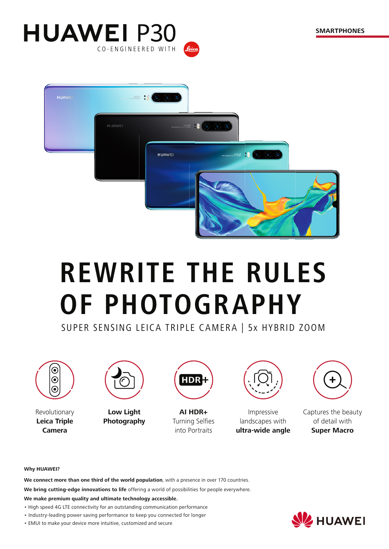



# **REWRITE THE RULES OF PHOTOGRAPHY**

SUPER SENSING LEICA TRIPLE CAMERA | 5x HYBRID ZOOM



Revolutionary **Leica Triple Camera**



**Low Light Photography**



**AI HDR+ Turning Selfies** into Portraits



Impressive landscapes with **ultra-wide angle**



Captures the beauty of detail with **Super Macro** 

#### **Why HUAWEI?**

**We connect more than one third of the world population**, with a presence in over 170 countries.

**We bring cutting-edge innovations to life** offering a world of possibilities for people everywhere.

**We make premium quality and ultimate technology accessible.**

- High speed 4G LTE connectivity for an outstanding communication performance
- Industry-leading power saving performance to keep you connected for longer
- EMUI to make your device more intuitive, customized and secure